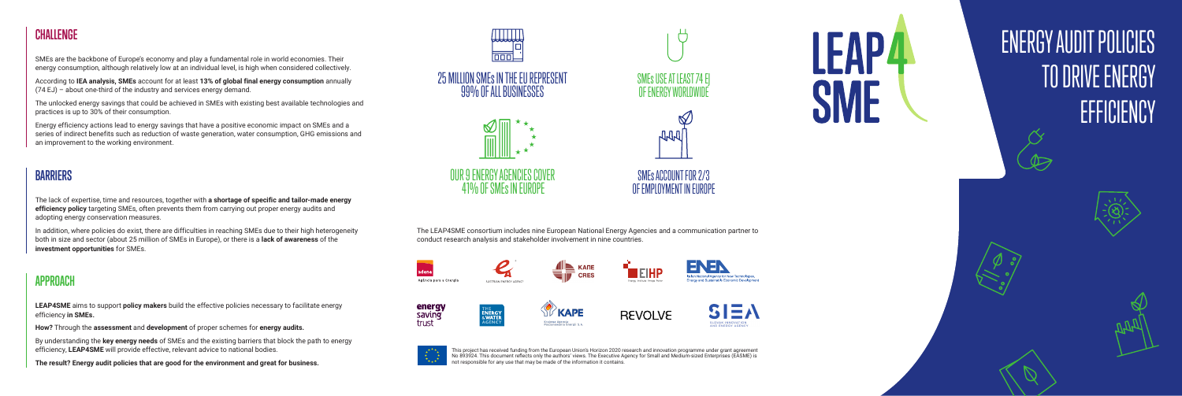This project has received funding from the European Union's Horizon 2020 research and innovation programme under grant agreement No 893924. This document reflects only the authors' views. The Executive Agency for Small and Medium-sized Enterprises (EASME) is not responsible for any use that may be made of the information it contains.

### **CHALLENGE**

SMEs are the backbone of Europe's economy and play a fundamental role in world economies. Their energy consumption, although relatively low at an individual level, is high when considered collectively.

According to **IEA analysis, SMEs** account for at least **13% of global final energy consumption** annually (74 EJ) – about one-third of the industry and services energy demand.

The unlocked energy savings that could be achieved in SMEs with existing best available technologies and practices is up to 30% of their consumption.

Energy efficiency actions lead to energy savings that have a positive economic impact on SMEs and a series of indirect benefits such as reduction of waste generation, water consumption, GHG emissions and an improvement to the working environment.

#### **BARRIERS**

The lack of expertise, time and resources, together with **a shortage of specific and tailor-made energy efficiency policy** targeting SMEs, often prevents them from carrying out proper energy audits and adopting energy conservation measures.

In addition, where policies do exist, there are difficulties in reaching SMEs due to their high heterogeneity both in size and sector (about 25 million of SMEs in Europe), or there is a **lack of awareness** of the **investment opportunities** for SMEs.

#### **APPROACH**

**LEAP4SME** aims to support **policy makers** build the effective policies necessary to facilitate energy efficiency **in SMEs.**

**How?** Through the **assessment** and **development** of proper schemes for **energy audits.** 

By understanding the **key energy needs** of SMEs and the existing barriers that block the path to energy efficiency, **LEAP4SME** will provide effective, relevant advice to national bodies.

**The result? Energy audit policies that are good for the environment and great for business.** 



The LEAP4SME consortium includes nine European National Energy Agencies and a communication partner to







# ENERGY AUDIT POLICIES TO DRIVE ENERGY **EFFICIENCY**







conduct research analysis and stakeholder involvement in nine countries.







**ST KAPE** 

Krajowa Agencja<br>Poszanowania Energii S.A.











OUR 9 ENERGY AGENCIES COVER 41% OF SMEs IN EUROPE









SMEs ACCOUNT FOR 2/3 OF EMPLOYMENT IN EUROPE